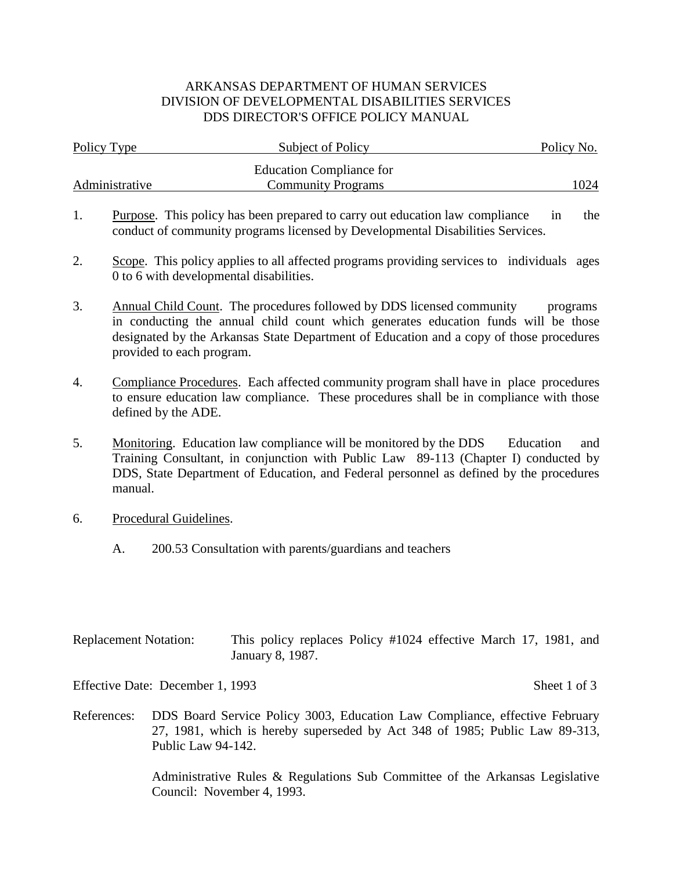## ARKANSAS DEPARTMENT OF HUMAN SERVICES DIVISION OF DEVELOPMENTAL DISABILITIES SERVICES DDS DIRECTOR'S OFFICE POLICY MANUAL

| Policy Type    | Subject of Policy               | Policy No. |  |  |
|----------------|---------------------------------|------------|--|--|
|                | <b>Education Compliance for</b> |            |  |  |
| Administrative | <b>Community Programs</b>       | 1024       |  |  |

- 1. Purpose. This policy has been prepared to carry out education law compliance in the conduct of community programs licensed by Developmental Disabilities Services.
- 2. Scope. This policy applies to all affected programs providing services to individuals ages 0 to 6 with developmental disabilities.
- 3. Annual Child Count. The procedures followed by DDS licensed community programs in conducting the annual child count which generates education funds will be those designated by the Arkansas State Department of Education and a copy of those procedures provided to each program.
- 4. Compliance Procedures. Each affected community program shall have in place procedures to ensure education law compliance. These procedures shall be in compliance with those defined by the ADE.
- 5. Monitoring. Education law compliance will be monitored by the DDS Education and Training Consultant, in conjunction with Public Law 89-113 (Chapter I) conducted by DDS, State Department of Education, and Federal personnel as defined by the procedures manual.
- 6. Procedural Guidelines.
	- A. 200.53 Consultation with parents/guardians and teachers

| <b>Replacement Notation:</b> | This policy replaces Policy #1024 effective March 17, 1981, and |  |  |  |  |
|------------------------------|-----------------------------------------------------------------|--|--|--|--|
|                              | January 8, 1987.                                                |  |  |  |  |

Effective Date: December 1, 1993 Sheet 1 of 3

References: DDS Board Service Policy 3003, Education Law Compliance, effective February 27, 1981, which is hereby superseded by Act 348 of 1985; Public Law 89-313, Public Law 94-142.

> Administrative Rules & Regulations Sub Committee of the Arkansas Legislative Council: November 4, 1993.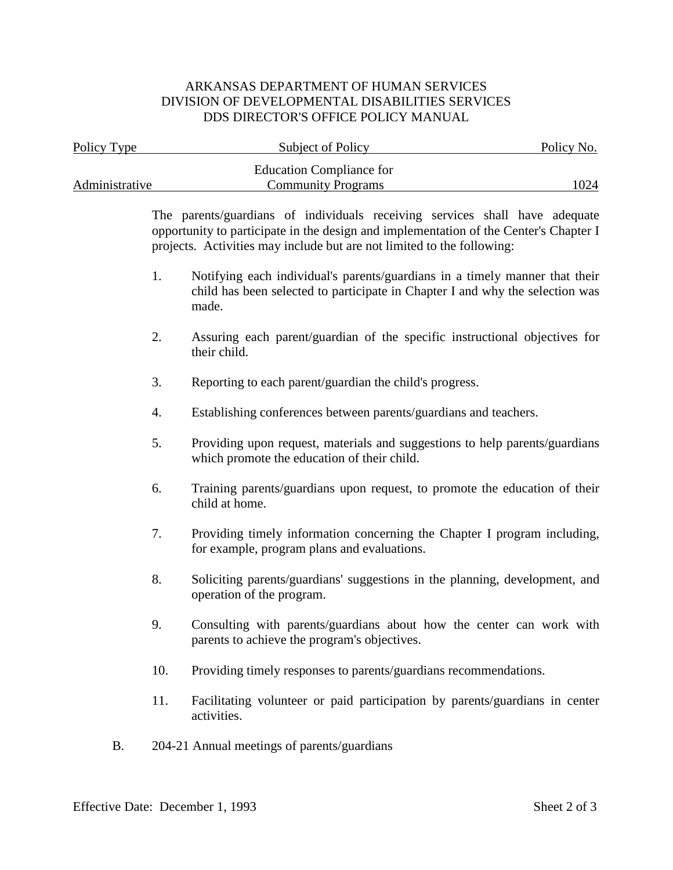## ARKANSAS DEPARTMENT OF HUMAN SERVICES DIVISION OF DEVELOPMENTAL DISABILITIES SERVICES DDS DIRECTOR'S OFFICE POLICY MANUAL

| Policy Type    |     | Subject of Policy                                                                                                                                                                                                                              | Policy No. |
|----------------|-----|------------------------------------------------------------------------------------------------------------------------------------------------------------------------------------------------------------------------------------------------|------------|
| Administrative |     | <b>Education Compliance for</b><br><b>Community Programs</b>                                                                                                                                                                                   | 1024       |
|                |     | The parents/guardians of individuals receiving services shall have adequate<br>opportunity to participate in the design and implementation of the Center's Chapter I<br>projects. Activities may include but are not limited to the following: |            |
|                | 1.  | Notifying each individual's parents/guardians in a timely manner that their<br>child has been selected to participate in Chapter I and why the selection was<br>made.                                                                          |            |
|                | 2.  | Assuring each parent/guardian of the specific instructional objectives for<br>their child.                                                                                                                                                     |            |
|                | 3.  | Reporting to each parent/guardian the child's progress.                                                                                                                                                                                        |            |
|                | 4.  | Establishing conferences between parents/guardians and teachers.                                                                                                                                                                               |            |
|                | 5.  | Providing upon request, materials and suggestions to help parents/guardians<br>which promote the education of their child.                                                                                                                     |            |
|                | 6.  | Training parents/guardians upon request, to promote the education of their<br>child at home.                                                                                                                                                   |            |
|                | 7.  | Providing timely information concerning the Chapter I program including,<br>for example, program plans and evaluations.                                                                                                                        |            |
|                | 8.  | Soliciting parents/guardians' suggestions in the planning, development, and<br>operation of the program.                                                                                                                                       |            |
|                | 9.  | Consulting with parents/guardians about how the center can work with<br>parents to achieve the program's objectives.                                                                                                                           |            |
|                | 10. | Providing timely responses to parents/guardians recommendations.                                                                                                                                                                               |            |
|                | 11. | Facilitating volunteer or paid participation by parents/guardians in center<br>activities.                                                                                                                                                     |            |
| <b>B.</b>      |     | 204-21 Annual meetings of parents/guardians                                                                                                                                                                                                    |            |